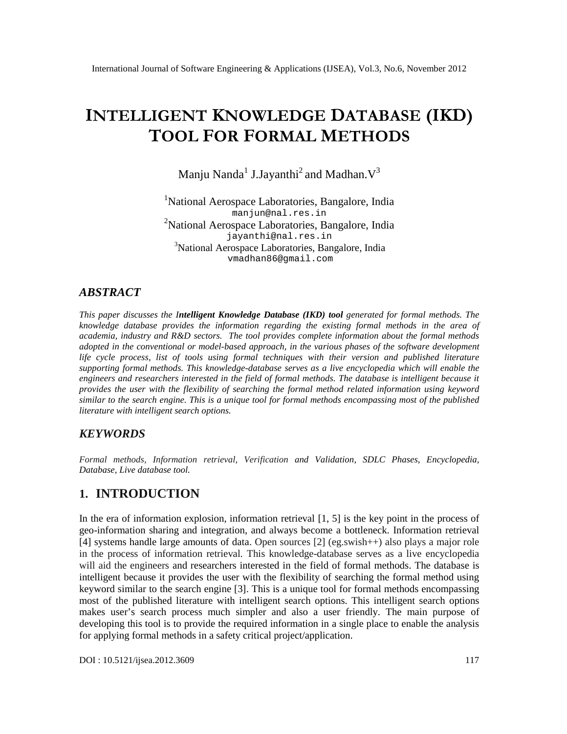# $INTELLIG E$  KNTOWLED GDEAT A B A  $$EKD$ ) TO OLFORFOR MAMETHODS

# Manju Nanda J.Jayanth $\hat{1}$ and Madhan $\mathsf{V}^3$

#### <sup>1</sup>National Aerospace Laboratories, Bangalore, India [manjun@nal.res.in](mailto:manjun@nal.res) <sup>2</sup>National Aerospace Laboratories, Bangalomelia [jayanthi@nal.res.in](mailto:jayanthi@nal.res) <sup>3</sup>National Aerospace Laboratories, Bangalore, India [vmadhan86@gmail.com](mailto:vmadhan86@gmail.com)

### ABSTRACT

This paper discusses thetelligent KnowledgeDatabase(IKD) tool generated for formal methods. The knowledge database provides the informationg arding the existing formal methods in therea of academia, industry and R&D sectors.The tool provides complete information about the formal methods adopted inthe convetional or modelbased approach, in the various phases of stoftware development life cycle process list of tools using formal techniqueswith their version andpublished literature supportingformal methods. This nowledgedatabases erves as a live encyclopediawhich will enablethe engineers and researchers interested in the fieltownal methods The database is intelligent because it provides the user with the flexibility of searching the formal metboated informationusing keyword similar to the search engine. This is a unique tool for formal methodompassing most of the published literature with intelligent search options.

### **KEYWORDS**

Formal methods, Information retrieval, Verification and Validation, SDLC Phases Encyclopedia, Database Live database tool

# 1. INTRODUCTION

In the era of information explosion, informationetrieval  $[1, 5]$  is the key point in the process of geoinformation sharing and integration, and always becorbettleneck.Information retrieval [4] systems handle largemounts ofdata Open sources [2] (eg.swish++) also plays a major role in the process of information retrievalhis knowledgedatabase serves as a live encyclopedia will aid the engineerand researchers interested in the field of formal methods. The adetas intelligent because it provides the user with the flexibility of searching the formal method using keyword similar to the search engine [3] his is a unique tool for formal methods encompassing most of the published literature with intelligent setaoptions. This intelligent search options makes user€s search process much simpler and also a user friendly. The main opturpose developingthis tool is toprovide the required information in a single place to enable the analysis for applying formal metods in a safety critical project/application.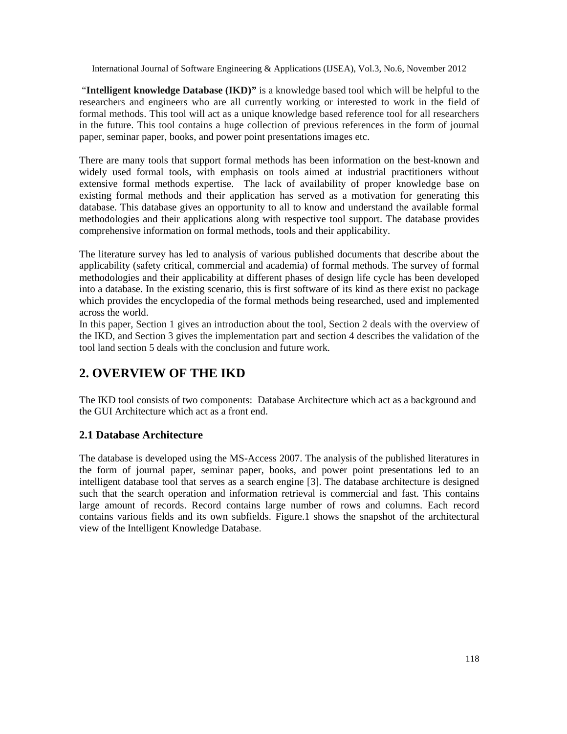"**Intelligent knowledge Database (IKD)"** is a knowledge based tool which will be helpful to the researchers and engineers who are all currently working or interested to work in the field of formal methods. This tool will act as a unique knowledge based reference tool for all researchers in the future. This tool contains a huge collection of previous references in the form of journal paper, seminar paper, books, and power point presentations images etc.

There are many tools that support formal methods has been information on the best-known and widely used formal tools, with emphasis on tools aimed at industrial practitioners without extensive formal methods expertise. The lack of availability of proper knowledge base on existing formal methods and their application has served as a motivation for generating this database. This database gives an opportunity to all to know and understand the available formal methodologies and their applications along with respective tool support. The database provides comprehensive information on formal methods, tools and their applicability.

The literature survey has led to analysis of various published documents that describe about the applicability (safety critical, commercial and academia) of formal methods. The survey of formal methodologies and their applicability at different phases of design life cycle has been developed into a database. In the existing scenario, this is first software of its kind as there exist no package which provides the encyclopedia of the formal methods being researched, used and implemented across the world.

In this paper, Section 1 gives an introduction about the tool, Section 2 deals with the overview of the IKD, and Section 3 gives the implementation part and section 4 describes the validation of the tool land section 5 deals with the conclusion and future work.

# **2. OVERVIEW OF THE IKD**

The IKD tool consists of two components: Database Architecture which act as a background and the GUI Architecture which act as a front end.

#### **2.1 Database Architecture**

The database is developed using the MS-Access 2007. The analysis of the published literatures in the form of journal paper, seminar paper, books, and power point presentations led to an intelligent database tool that serves as a search engine [3]. The database architecture is designed such that the search operation and information retrieval is commercial and fast. This contains large amount of records. Record contains large number of rows and columns. Each record contains various fields and its own subfields. Figure.1 shows the snapshot of the architectural view of the Intelligent Knowledge Database.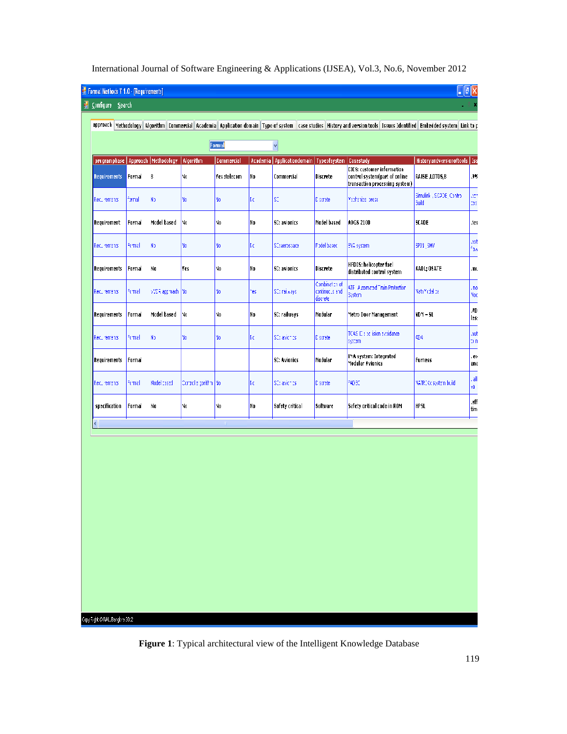| <b>E</b> Configure Search<br><b>Requirements</b><br>Formal<br>lernd<br>Recurements | programphase   Approach   Methodology<br>B | Algorithm<br>No.       | Formal<br><b>Commercial</b><br>Yes:telecom |     | Ÿ<br>Academia   Applicationdomain   Typeofsystem   Casestudy |                                               | approach   Methodology   Algorithm   Commercial   Academia   Application domain   Type of system   case studies   History and version tools   Issues Identified   Embedded system   Link to p | Historyandversionoftools   Iss            |              |  |  |
|------------------------------------------------------------------------------------|--------------------------------------------|------------------------|--------------------------------------------|-----|--------------------------------------------------------------|-----------------------------------------------|-----------------------------------------------------------------------------------------------------------------------------------------------------------------------------------------------|-------------------------------------------|--------------|--|--|
|                                                                                    |                                            |                        |                                            |     |                                                              |                                               |                                                                                                                                                                                               |                                           |              |  |  |
|                                                                                    |                                            |                        |                                            |     |                                                              |                                               |                                                                                                                                                                                               |                                           |              |  |  |
|                                                                                    |                                            |                        |                                            |     |                                                              |                                               |                                                                                                                                                                                               |                                           |              |  |  |
|                                                                                    |                                            |                        |                                            |     |                                                              |                                               |                                                                                                                                                                                               |                                           |              |  |  |
|                                                                                    |                                            |                        |                                            | No. | Commercial                                                   | <b>Discrete</b>                               | CICS: customer information<br>control system(part of online<br>transaction processing system)                                                                                                 | RAISE ,LOTOS,B                            | ,9%          |  |  |
|                                                                                    | No.                                        | No.                    | ٧o                                         | kα  | \$C                                                          | Discrete                                      | Mechanical press                                                                                                                                                                              | Simulink , SCADE, Control<br><b>Bliuč</b> | æ<br>EBS)    |  |  |
| Requirement<br>Formal                                                              | Model based                                | No.                    | No                                         | No  | SC: avionics                                                 | Model based                                   | ADGS 2100                                                                                                                                                                                     | <b>SCADE</b>                              | .tes         |  |  |
| Recurements<br>Formal                                                              | No.                                        | No.                    | ٧o                                         | kα  | SC:aerospace                                                 | Model based                                   | EVA system.                                                                                                                                                                                   | SPIN SMV                                  | txe,<br>۸£   |  |  |
| Formal<br><b>Requirements</b>                                                      | No                                         | <b>Tes</b>             | No                                         | No  | SC: avionics                                                 | Discrete                                      | HFDCS: helicopter fuel<br>distributed control system                                                                                                                                          | AADL; OSATE                               | .mu          |  |  |
| Formal<br>Recurements                                                              | VVDR approach.                             | Yo                     | ٧o                                         | 'es | SC: railways                                                 | Combination of<br>continuous and<br>discrete. | ATF Automated Train Protection<br>System.                                                                                                                                                     | NathModelloa                              | , no<br>Mod  |  |  |
| Requirements<br>Formal                                                             | Model based                                | No.                    | No                                         | No  | SD: railways                                                 | Modular                                       | Metro Door Management                                                                                                                                                                         | VDM – SL                                  | .VDI<br>less |  |  |
| Formal<br>Recurements                                                              | N)                                         | ٧o                     | ٧o                                         | Kα  | SC: avichies                                                 | Discrete                                      | TCAS E : pc ision evoidance<br>system.                                                                                                                                                        | 404                                       | Jue.<br>þπ   |  |  |
| Formal<br>Requirements                                                             |                                            |                        |                                            |     | SC: Avionics                                                 | Modular                                       | IMA system: Integrated<br>Modular Avionics                                                                                                                                                    | Furness                                   | .ex<br>ana   |  |  |
| Recurements<br>Formal                                                              | Model cased                                | Controlle gorithm   No |                                            | Kα  | SC: avichies                                                 | Discrete                                      | RADEC                                                                                                                                                                                         | MATRIXx system build.                     | , all<br>νã  |  |  |
| specification<br>Formal                                                            | No                                         | N٥                     | No                                         | No  | Safety critical                                              | Software                                      | Safety critical code in ROM                                                                                                                                                                   | <b>HPSL</b>                               | .eff<br>tim  |  |  |
| €                                                                                  |                                            |                        | $\rm H$                                    |     |                                                              |                                               |                                                                                                                                                                                               |                                           |              |  |  |

Copy Right @MAL, Bangbre 2012

**Figure 1**: Typical architectural view of the Intelligent Knowledge Database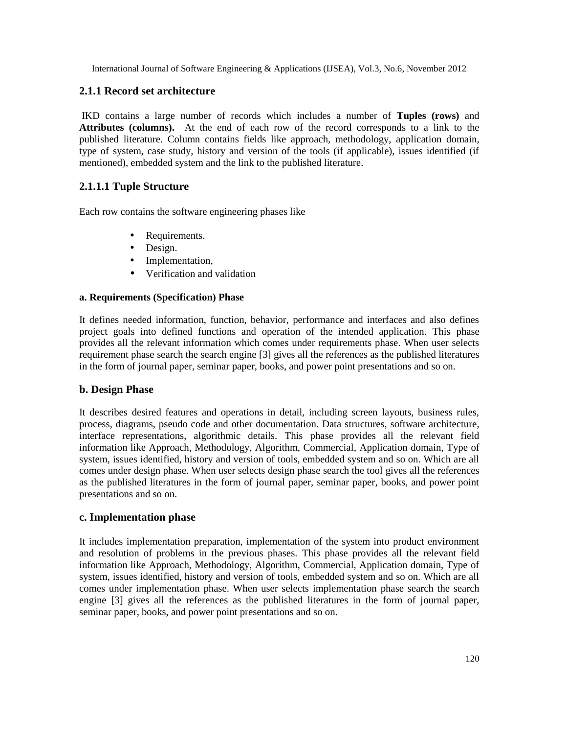#### **2.1.1 Record set architecture**

IKD contains a large number of records which includes a number of **Tuples (rows)** and **Attributes (columns).** At the end of each row of the record corresponds to a link to the published literature. Column contains fields like approach, methodology, application domain, type of system, case study, history and version of the tools (if applicable), issues identified (if mentioned), embedded system and the link to the published literature.

#### **2.1.1.1 Tuple Structure**

Each row contains the software engineering phases like

- Requirements.
- Design.
- Implementation,
- Verification and validation

#### **a. Requirements (Specification) Phase**

It defines needed information, function, behavior, performance and interfaces and also defines project goals into defined functions and operation of the intended application. This phase provides all the relevant information which comes under requirements phase. When user selects requirement phase search the search engine [3] gives all the references as the published literatures in the form of journal paper, seminar paper, books, and power point presentations and so on.

#### **b. Design Phase**

It describes desired features and operations in detail, including screen layouts, business rules, process, diagrams, pseudo code and other documentation. Data structures, software architecture, interface representations, algorithmic details. This phase provides all the relevant field information like Approach, Methodology, Algorithm, Commercial, Application domain, Type of system, issues identified, history and version of tools, embedded system and so on. Which are all comes under design phase. When user selects design phase search the tool gives all the references as the published literatures in the form of journal paper, seminar paper, books, and power point presentations and so on.

#### **c. Implementation phase**

It includes implementation preparation, implementation of the system into product environment and resolution of problems in the previous phases. This phase provides all the relevant field information like Approach, Methodology, Algorithm, Commercial, Application domain, Type of system, issues identified, history and version of tools, embedded system and so on. Which are all comes under implementation phase. When user selects implementation phase search the search engine [3] gives all the references as the published literatures in the form of journal paper, seminar paper, books, and power point presentations and so on.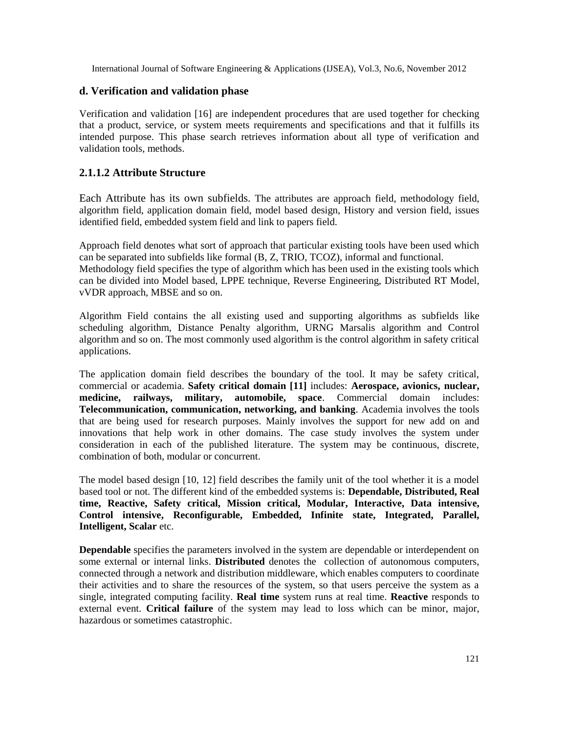#### **d. Verification and validation phase**

Verification and validation [16] are independent procedures that are used together for checking that a product, service, or system meets requirements and specifications and that it fulfills its intended purpose. This phase search retrieves information about all type of verification and validation tools, methods.

#### **2.1.1.2 Attribute Structure**

Each Attribute has its own subfields. The attributes are approach field, methodology field, algorithm field, application domain field, model based design, History and version field, issues identified field, embedded system field and link to papers field.

Approach field denotes what sort of approach that particular existing tools have been used which can be separated into subfields like formal (B, Z, TRIO, TCOZ), informal and functional. Methodology field specifies the type of algorithm which has been used in the existing tools which can be divided into Model based, LPPE technique, Reverse Engineering, Distributed RT Model, vVDR approach, MBSE and so on.

Algorithm Field contains the all existing used and supporting algorithms as subfields like scheduling algorithm, Distance Penalty algorithm, URNG Marsalis algorithm and Control algorithm and so on. The most commonly used algorithm is the control algorithm in safety critical applications.

The application domain field describes the boundary of the tool. It may be safety critical, commercial or academia. **Safety critical domain [11]** includes: **Aerospace, avionics, nuclear, medicine, railways, military, automobile, space**. Commercial domain includes: **Telecommunication, communication, networking, and banking**. Academia involves the tools that are being used for research purposes. Mainly involves the support for new add on and innovations that help work in other domains. The case study involves the system under consideration in each of the published literature. The system may be continuous, discrete, combination of both, modular or concurrent.

The model based design [10, 12] field describes the family unit of the tool whether it is a model based tool or not. The different kind of the embedded systems is: **Dependable, Distributed, Real time, Reactive, Safety critical, Mission critical, Modular, Interactive, Data intensive, Control intensive, Reconfigurable, Embedded, Infinite state, Integrated, Parallel, Intelligent, Scalar** etc.

**Dependable** specifies the parameters involved in the system are dependable or interdependent on some external or internal links. **Distributed** denotes the collection of autonomous computers, connected through a network and distribution middleware, which enables computers to coordinate their activities and to share the resources of the system, so that users perceive the system as a single, integrated computing facility. **Real time** system runs at real time. **Reactive** responds to external event. **Critical failure** of the system may lead to loss which can be minor, major, hazardous or sometimes catastrophic.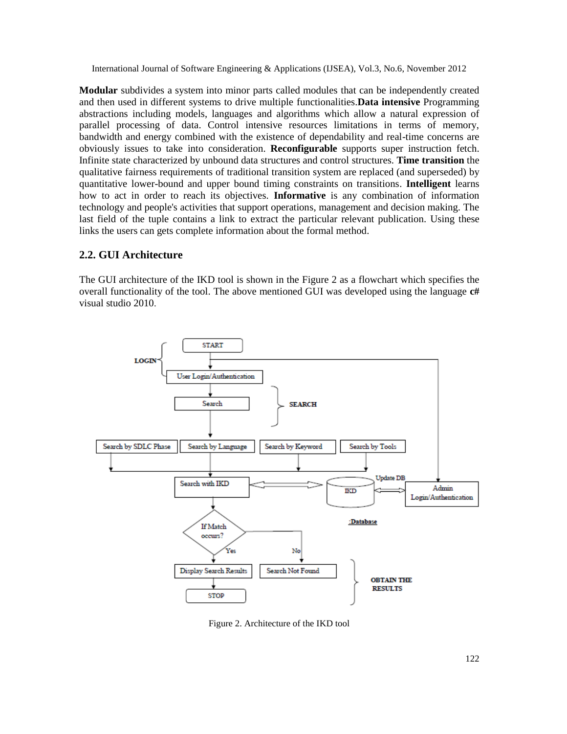**Modular** subdivides a system into minor parts called modules that can be independently created and then used in different systems to drive multiple functionalities.**Data intensive** Programming abstractions including models, languages and algorithms which allow a natural expression of parallel processing of data. Control intensive resources limitations in terms of memory, bandwidth and energy combined with the existence of dependability and real-time concerns are obviously issues to take into consideration. **Reconfigurable** supports super instruction fetch. Infinite state characterized by unbound data structures and control structures. **Time transition** the qualitative fairness requirements of traditional transition system are replaced (and superseded) by quantitative lower-bound and upper bound timing constraints on transitions. **Intelligent** learns how to act in order to reach its objectives. **Informative** is any combination of information technology and people's activities that support operations, management and decision making. The last field of the tuple contains a link to extract the particular relevant publication. Using these links the users can gets complete information about the formal method.

#### **2.2. GUI Architecture**

The GUI architecture of the IKD tool is shown in the Figure 2 as a flowchart which specifies the overall functionality of the tool. The above mentioned GUI was developed using the language **c#** visual studio 2010.



Figure 2. Architecture of the IKD tool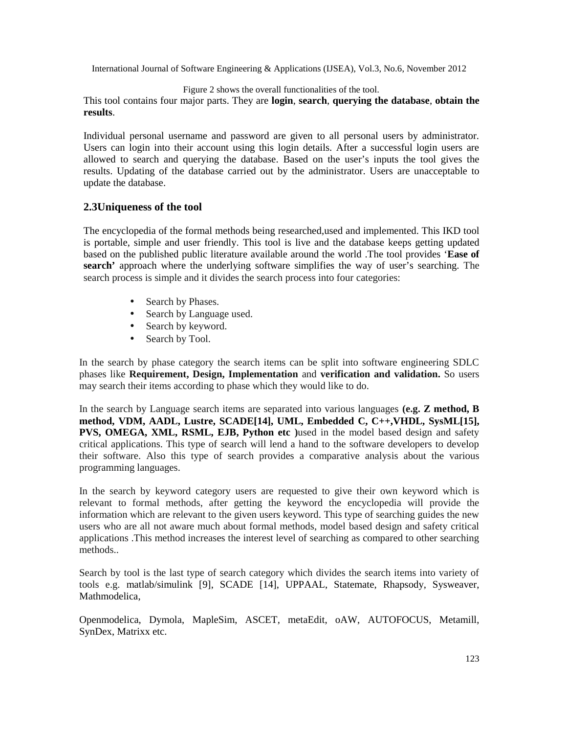Figure 2 shows the overall functionalities of the tool.

This tool contains four major parts. They are **login**, **search**, **querying the database**, **obtain the results**.

Individual personal username and password are given to all personal users by administrator. Users can login into their account using this login details. After a successful login users are allowed to search and querying the database. Based on the user's inputs the tool gives the results. Updating of the database carried out by the administrator. Users are unacceptable to update the database.

#### **2.3Uniqueness of the tool**

The encyclopedia of the formal methods being researched,used and implemented. This IKD tool is portable, simple and user friendly. This tool is live and the database keeps getting updated based on the published public literature available around the world .The tool provides '**Ease of search'** approach where the underlying software simplifies the way of user's searching. The search process is simple and it divides the search process into four categories:

- Search by Phases.
- Search by Language used.
- Search by keyword.
- Search by Tool.

In the search by phase category the search items can be split into software engineering SDLC phases like **Requirement, Design, Implementation** and **verification and validation.** So users may search their items according to phase which they would like to do.

In the search by Language search items are separated into various languages **(e.g. Z method, B method, VDM, AADL, Lustre, SCADE[14], UML, Embedded C, C++,VHDL, SysML[15], PVS, OMEGA, XML, RSML, EJB, Python etc )**used in the model based design and safety critical applications. This type of search will lend a hand to the software developers to develop their software. Also this type of search provides a comparative analysis about the various programming languages.

In the search by keyword category users are requested to give their own keyword which is relevant to formal methods, after getting the keyword the encyclopedia will provide the information which are relevant to the given users keyword. This type of searching guides the new users who are all not aware much about formal methods, model based design and safety critical applications .This method increases the interest level of searching as compared to other searching methods..

Search by tool is the last type of search category which divides the search items into variety of tools e.g. matlab/simulink [9], SCADE [14], UPPAAL, Statemate, Rhapsody, Sysweaver, Mathmodelica,

Openmodelica, Dymola, MapleSim, ASCET, metaEdit, oAW, AUTOFOCUS, Metamill, SynDex, Matrixx etc.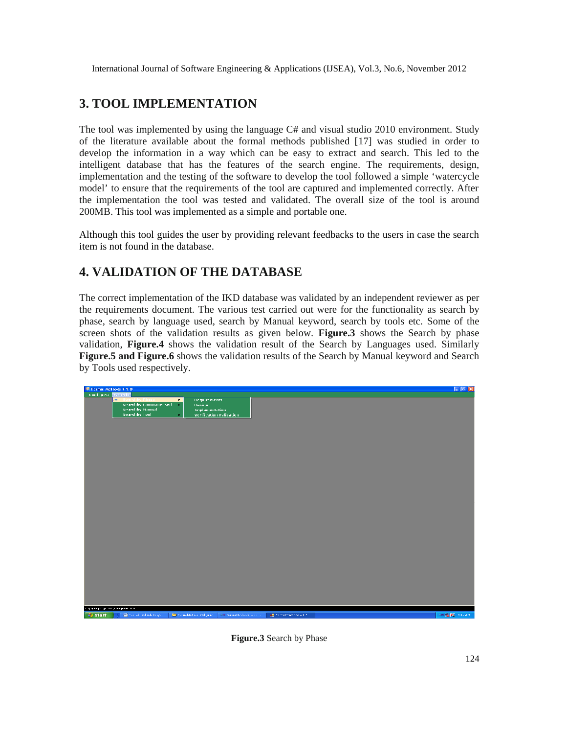# **3. TOOL IMPLEMENTATION**

The tool was implemented by using the language C# and visual studio 2010 environment. Study of the literature available about the formal methods published [17] was studied in order to develop the information in a way which can be easy to extract and search. This led to the intelligent database that has the features of the search engine. The requirements, design, implementation and the testing of the software to develop the tool followed a simple 'watercycle model' to ensure that the requirements of the tool are captured and implemented correctly. After the implementation the tool was tested and validated. The overall size of the tool is around 200MB. This tool was implemented as a simple and portable one.

Although this tool guides the user by providing relevant feedbacks to the users in case the search item is not found in the database.

# **4. VALIDATION OF THE DATABASE**

The correct implementation of the IKD database was validated by an independent reviewer as per the requirements document. The various test carried out were for the functionality as search by phase, search by language used, search by Manual keyword, search by tools etc. Some of the screen shots of the validation results as given below. **Figure.3** shows the Search by phase validation, **Figure.4** shows the validation result of the Search by Languages used. Similarly **Figure.5 and Figure.6** shows the validation results of the Search by Manual keyword and Search by Tools used respectively.



**Figure.3** Search by Phase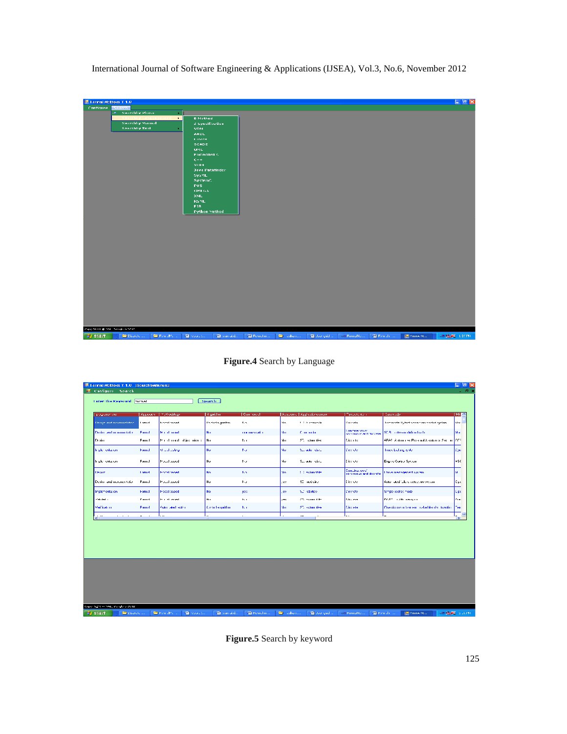| 图 Formal Methods V 1.0           |                                                    |                                     |                        |                |                     |                                |             |                     | $\Box$ and $\boxtimes$ |
|----------------------------------|----------------------------------------------------|-------------------------------------|------------------------|----------------|---------------------|--------------------------------|-------------|---------------------|------------------------|
| Contigues<br>Saarch <sup>1</sup> |                                                    |                                     |                        |                |                     |                                |             |                     |                        |
| <b>Secondary Phase</b><br>уm.    | $\mathbf{r}$ .                                     |                                     |                        |                |                     |                                |             |                     |                        |
|                                  | Searchby Languageused<br>$\mathbf{F}$              | <b>B</b> Mothed                     |                        |                |                     |                                |             |                     |                        |
| <b>Neoriblig Mound</b>           |                                                    | Z Specification                     |                        |                |                     |                                |             |                     |                        |
| Searchby Tool                    | ٠                                                  | VDM.                                |                        |                |                     |                                |             |                     |                        |
|                                  |                                                    | <b>AADL</b>                         |                        |                |                     |                                |             |                     |                        |
|                                  |                                                    | <b>LOSTER</b>                       |                        |                |                     |                                |             |                     |                        |
|                                  |                                                    | <b>SCADE</b>                        |                        |                |                     |                                |             |                     |                        |
|                                  |                                                    | <b>UML</b>                          |                        |                |                     |                                |             |                     |                        |
|                                  |                                                    | <b>Embadded C.</b>                  |                        |                |                     |                                |             |                     |                        |
|                                  |                                                    | $\mathbf{C} \rightarrow \mathbf{+}$ |                        |                |                     |                                |             |                     |                        |
|                                  |                                                    | VEH H                               |                        |                |                     |                                |             |                     |                        |
|                                  |                                                    | <b>Java Pathfinder</b>              |                        |                |                     |                                |             |                     |                        |
|                                  |                                                    | <b>SysML</b>                        |                        |                |                     |                                |             |                     |                        |
|                                  |                                                    | SystemC.                            |                        |                |                     |                                |             |                     |                        |
|                                  |                                                    | <b>DVS</b>                          |                        |                |                     |                                |             |                     |                        |
|                                  |                                                    | OMEGA.                              |                        |                |                     |                                |             |                     |                        |
|                                  |                                                    | XML                                 |                        |                |                     |                                |             |                     |                        |
|                                  |                                                    | <b>RSML</b>                         |                        |                |                     |                                |             |                     |                        |
|                                  |                                                    | F18                                 |                        |                |                     |                                |             |                     |                        |
|                                  |                                                    | <b>Python Method</b>                |                        |                |                     |                                |             |                     |                        |
|                                  |                                                    |                                     |                        |                |                     |                                |             |                     |                        |
|                                  |                                                    |                                     |                        |                |                     |                                |             |                     |                        |
| Copy Steph @ NALL Tanglars 2012  |                                                    |                                     |                        |                |                     |                                |             |                     |                        |
| <b>By start</b><br>C Paulo       | $\blacksquare$<br>Form $\mathcal{M}(\mathbb{C})$ . | <b>C</b> house.                     | <b>CE</b> constitution | 122 Foundation | <b>Construction</b> | 1990 Joe guid Long Form Massen | 2 Female of | <b>ED Forms Max</b> | <b>HOLEY LEON</b>      |
|                                  |                                                    |                                     |                        |                |                     |                                |             |                     |                        |

**Figure.4** Search by Language

| <sup>all</sup> Formal Methods V 1.0 (SearchbyManual)<br><b>E Configure</b> Search |               |                             |                          |                   |      |                             |                                           |                                                   | $-77x$              |
|-----------------------------------------------------------------------------------|---------------|-----------------------------|--------------------------|-------------------|------|-----------------------------|-------------------------------------------|---------------------------------------------------|---------------------|
| <b>Luter the Keyword Incost</b>                                                   |               |                             | <b>Search</b>            |                   |      |                             |                                           |                                                   |                     |
| programme and                                                                     | Approach      | <b>The all odds</b> gas     | A goid in                | <b>Commercial</b> |      | Academy   Applicationcoman- | <b>Typecty, Walle</b>                     | <b>Davenute</b>                                   | ■田川へ                |
| Design and movementation                                                          | <b>Lomest</b> | <b>North Street</b>         | <b>Control signation</b> | B.S.              | nP.  | 1. C.A. manager             | Daniele                                   | tive model tighted powercers control system       | <b>BENT</b>         |
| Dedictived in remarkative                                                         | Francol       | <b>Michel result</b>        | No                       | communication     | Mar. | Concentration               | Lombardon of<br>continue in and durings.  | SES in the air defined on to                      | lta a               |
| Drain                                                                             | Fram. I       | Mondonaal dies minute       | <b>Hu</b>                | h.                | No.  | ST. Linuxies:               | <b>Carrier</b>                            | 4FAS Administrational Assistance Secret CCS.      |                     |
| In the series on                                                                  | Found:        | <b>Michael confirma</b>     | Ho.                      | bu.               | No.  | Surface design              | David Co.                                 | hoe clading wife.                                 | <b>Can</b>          |
| h ple ontacen                                                                     | Found         | <b>Pouchoused</b>           | <b>Hu</b>                | hu.               | Nυ   | Superior Olds               | Discourse                                 | Ergino Contro Spricin                             | lesc.               |
| Dence                                                                             | <b>Lombal</b> | <b>Installation</b>         | <b>No.</b>               | No.               | Mo.  | 1. Constrainter             | Compires and 1<br>continuous and discrete | Incorporation and Automo-                         | lы                  |
| Divisionand molecules with                                                        | Found         | <b>Pouchouse</b>            | <b>Hu</b>                | bu.               | yes, | 90 and drag                 | Discourse.                                | Asker atted follow cottop, an everyone            | <b>ادى</b>          |
| Implementation                                                                    | Formal        | Model based                 | <b>Ho</b>                | 922               | ie.  | Surveitobes.                | <b>L'imprete</b>                          | Simple (celte) mode                               | <b>Lipe</b>         |
| Matalani m                                                                        | Econod        | <b>Monet benefit</b>        | <b>No</b>                | h.                | in.  | CD estomable                | Discorte                                  | DAT? In this lowance                              | Cox.                |
| Medited con                                                                       | Francol       | <b>Guine Steel addition</b> | Central armitter         | K.                | No.  | ST, submittee               | <b>Discover</b>                           | Charaionam o Isleason in shall bender the ability | Text                |
| $\sim$ $\sim$<br>ki m                                                             | $ -$          | 1.                          | ы.<br>$\mathbf{H}$       | $\sim$            | ÷.   | $\sim$ $-$                  | ı.,                                       | L.                                                | u.<br>$\rightarrow$ |
|                                                                                   |               |                             |                          |                   |      |                             |                                           |                                                   |                     |
|                                                                                   |               |                             |                          |                   |      |                             |                                           |                                                   |                     |
|                                                                                   |               |                             |                          |                   |      |                             |                                           |                                                   |                     |
| Gopy, Salit in NAL, Burgland 2012.                                                |               |                             |                          |                   |      |                             |                                           |                                                   |                     |

**Figure.5** Search by keyword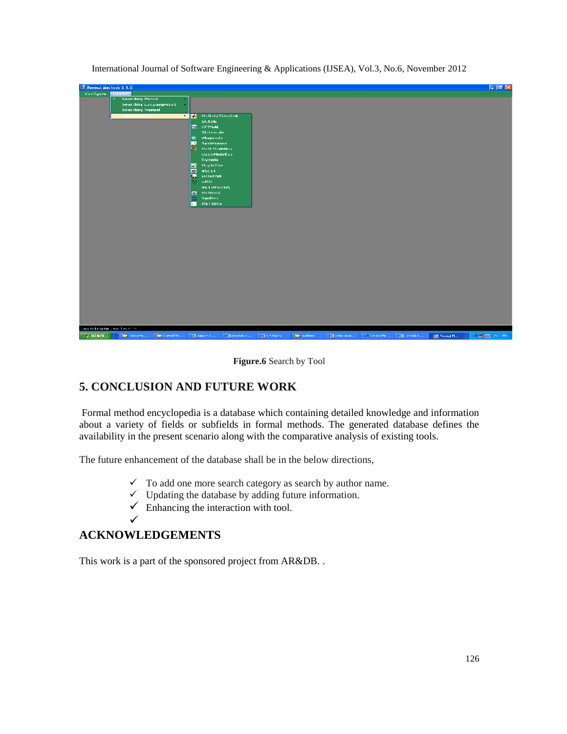

**Figure.6** Search by Tool

### **5. CONCLUSION AND FUTURE WORK**

Formal method encyclopedia is a database which containing detailed knowledge and information about a variety of fields or subfields in formal methods. The generated database defines the availability in the present scenario along with the comparative analysis of existing tools.

The future enhancement of the database shall be in the below directions,

- $\checkmark$  To add one more search category as search by author name.
- $\checkmark$  Updating the database by adding future information.
- $\checkmark$  Enhancing the interaction with tool.
- ✓

### **ACKNOWLEDGEMENTS**

This work is a part of the sponsored project from AR&DB. .